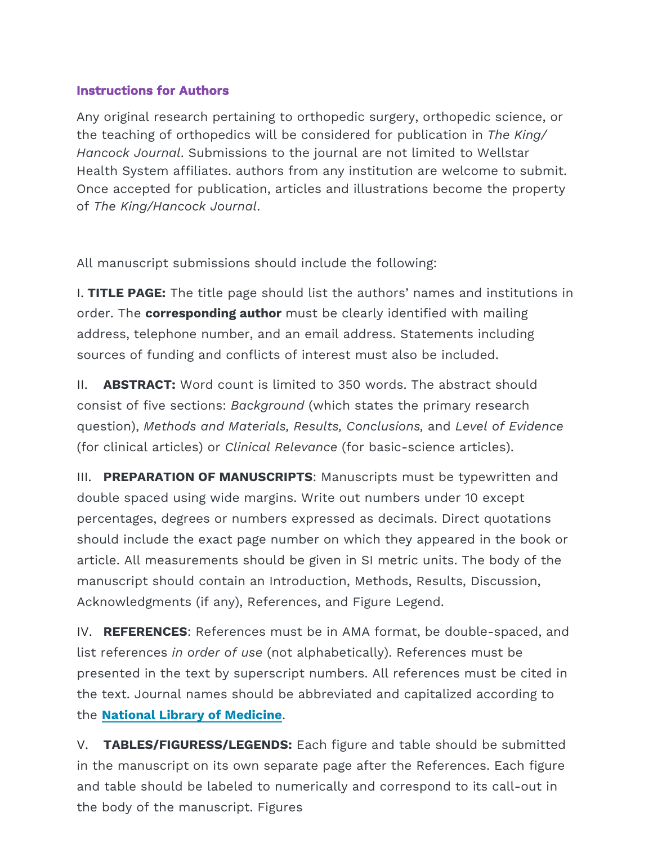## **Instructions for Authors**

Any original research pertaining to orthopedic surgery, orthopedic science, or the teaching of orthopedics will be considered for publication in *The King/ Hancock Journal*. Submissions to the journal are not limited to Wellstar Health System affiliates. authors from any institution are welcome to submit. Once accepted for publication, articles and illustrations become the property of *The King/Hancock Journal*.

All manuscript submissions should include the following:

I. **TITLE PAGE:** The title page should list the authors' names and institutions in order. The **corresponding author** must be clearly identified with mailing address, telephone number, and an email address. Statements including sources of funding and conflicts of interest must also be included.

II. **ABSTRACT:** Word count is limited to 350 words. The abstract should consist of five sections: *Background* (which states the primary research question), *Methods and Materials, Results, Conclusions,* and *Level of Evidence*  (for clinical articles) or *Clinical Relevance* (for basic-science articles).

III. **PREPARATION OF MANUSCRIPTS**: Manuscripts must be typewritten and double spaced using wide margins. Write out numbers under 10 except percentages, degrees or numbers expressed as decimals. Direct quotations should include the exact page number on which they appeared in the book or article. All measurements should be given in SI metric units. The body of the manuscript should contain an Introduction, Methods, Results, Discussion, Acknowledgments (if any), References, and Figure Legend.

IV. **REFERENCES**: References must be in AMA format, be double-spaced, and list references *in order of use* (not alphabetically). References must be presented in the text [by superscript numbers. All](https://www.ncbi.nlm.nih.gov/nlmcatalog?term=currentlyindexed) references must be cited in the text. Journal names should be abbreviated and capitalized according to the **National Library of Medicine**.

V. **TABLES/FIGURESS/LEGENDS:** Each figure and table should be submitted in the manuscript on its own separate page after the References. Each figure and table should be labeled to numerically and correspond to its call-out in the body of the manuscript. Figures